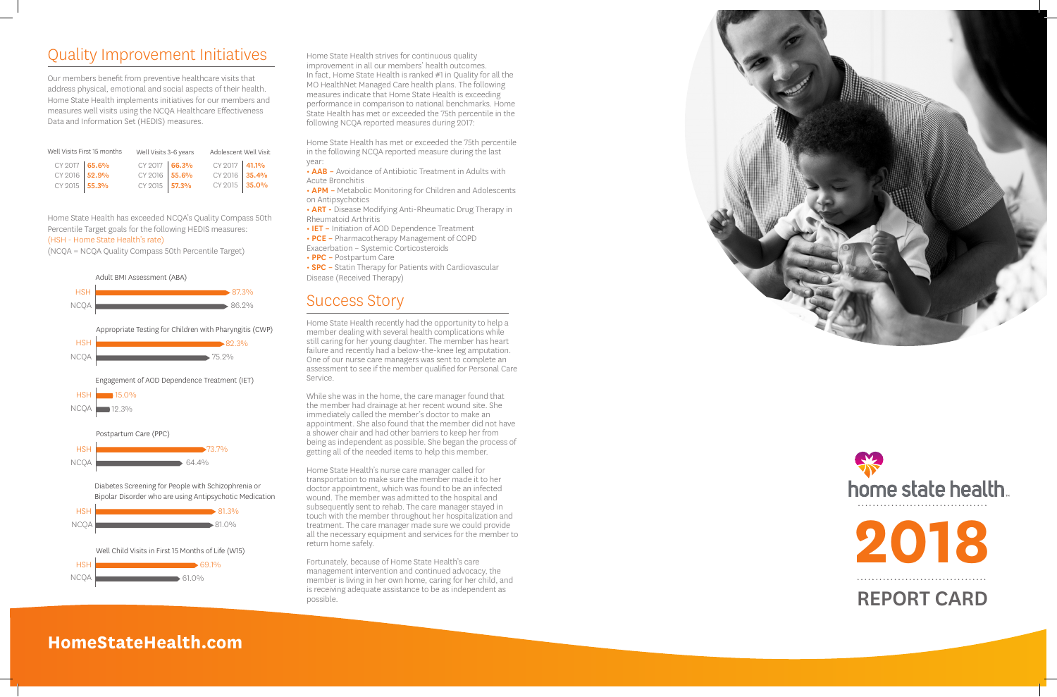## Quality Improvement Initiatives

Our members benefit from preventive healthcare visits that address physical, emotional and social aspects of their health. Home State Health implements initiatives for our members and measures well visits using the NCQA Healthcare Effectiveness Data and Information Set (HEDIS) measures.

Home State Health has exceeded NCQA's Quality Compass 50th Percentile Target goals for the following HEDIS measures: (HSH - Home State Health's rate)

(NCQA = NCQA Quality Compass 50th Percentile Target)

• AAB – Avoidance of Antibiotic Treatment in Adults with Acute Bronchitis

• APM - Metabolic Monitoring for Children and Adolescents on Antipsychotics

• **ART** - Disease Modifying Anti-Rheumatic Drug Therapy in Rheumatoid Arthritis

• IET - Initiation of AOD Dependence Treatment

• PCE – Pharmacotherapy Management of COPD

• **SPC** - Statin Therapy for Patients with Cardiovascular Disease (Received Therapy)

Home State Health strives for continuous quality improvement in all our members' health outcomes. In fact, Home State Health is ranked #1 in Quality for all the MO HealthNet Managed Care health plans. The following measures indicate that Home State Health is exceeding performance in comparison to national benchmarks. Home State Health has met or exceeded the 75th percentile in the following NCQA reported measures during 2017:

Home State Health has met or exceeded the 75th percentile in the following NCQA reported measure during the last year:

Exacerbation – Systemic Corticosteroids

• PPC – Postpartum Care

### Success Story



Home State Health recently had the opportunity to help a member dealing with several health complications while still caring for her young daughter. The member has heart failure and recently had a below-the-knee leg amputation. One of our nurse care managers was sent to complete an assessment to see if the member qualified for Personal Care Service.

While she was in the home, the care manager found that the member had drainage at her recent wound site. She immediately called the member's doctor to make an appointment. She also found that the member did not have a shower chair and had other barriers to keep her from being as independent as possible. She began the process of getting all of the needed items to help this member.

Home State Health's nurse care manager called for transportation to make sure the member made it to her doctor appointment, which was found to be an infected wound. The member was admitted to the hospital and subsequently sent to rehab. The care manager stayed in touch with the member throughout her hospitalization and treatment. The care manager made sure we could provide all the necessary equipment and services for the member to return home safely.

Fortunately, because of Home State Health's care management intervention and continued advocacy, the member is living in her own home, caring for her child, and is receiving adequate assistance to be as independent as



### **HomeStateHealth.com**



| Well Visits First 15 months |  | Well Visits 3-6 years |  | Adolescent Well Visit |  |
|-----------------------------|--|-----------------------|--|-----------------------|--|
| CY 2017 65.6%               |  | CY 2017 66.3%         |  | CY 2017 41.1%         |  |
| CY 2016 52.9%               |  | CY 2016 55.6%         |  | CY 2016 35.4%         |  |
| CY 2015 55.3%               |  | CY 2015 57.3%         |  | CY 2015 35.0%         |  |